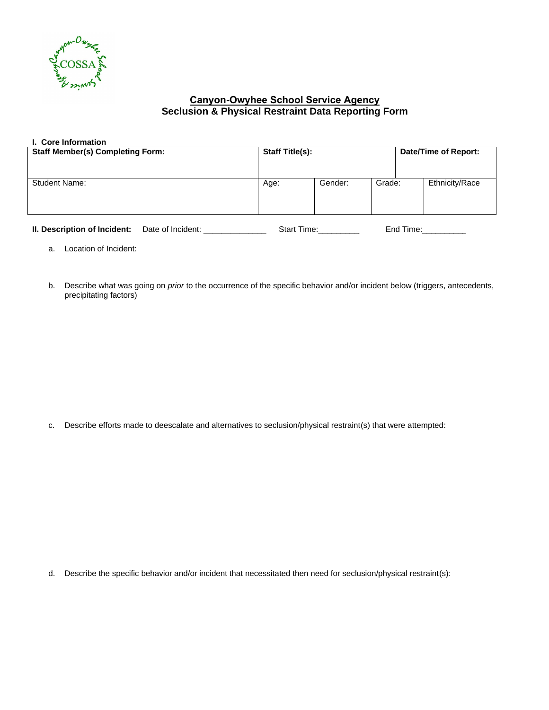

## **Canyon-Owyhee School Service Agency Seclusion & Physical Restraint Data Reporting Form**

| I. Core Information                     |                        |         |                      |  |                |
|-----------------------------------------|------------------------|---------|----------------------|--|----------------|
| <b>Staff Member(s) Completing Form:</b> | <b>Staff Title(s):</b> |         | Date/Time of Report: |  |                |
| <b>Student Name:</b>                    | Age:                   | Gender: | Grade:               |  | Ethnicity/Race |
|                                         |                        |         |                      |  |                |

**II. Description of Incident:** Date of Incident: \_\_\_\_\_\_\_\_\_\_\_\_\_\_Start Time:\_\_\_\_\_\_\_\_\_\_ End Time:\_\_\_\_\_\_\_\_\_\_\_

- a. Location of Incident:
- b. Describe what was going on *prior* to the occurrence of the specific behavior and/or incident below (triggers, antecedents, precipitating factors)

c. Describe efforts made to deescalate and alternatives to seclusion/physical restraint(s) that were attempted:

d. Describe the specific behavior and/or incident that necessitated then need for seclusion/physical restraint(s):